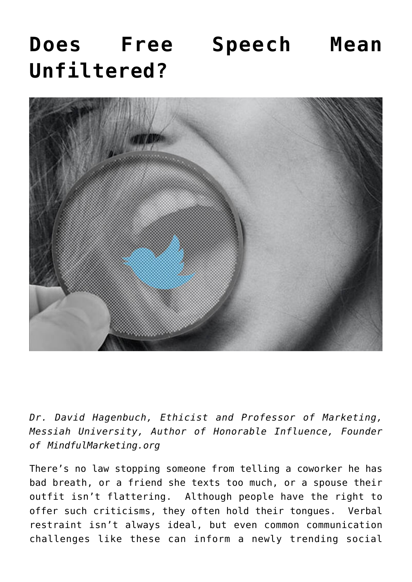## **[Does Free Speech Mean](https://www.commpro.biz/does-free-speech-mean-unfiltered/) [Unfiltered?](https://www.commpro.biz/does-free-speech-mean-unfiltered/)**



*Dr. David Hagenbuch, Ethicist and Professor of Marketing, Messiah University, Author of [Honorable Influence,](http://www.honorableinfluence.com/) Founder of [MindfulMarketing.org](http://www.mindfulmarketing.org/)*

There's no law stopping someone from telling a coworker he has bad breath, or a friend she texts too much, or a spouse their outfit isn't flattering. Although people have the right to offer such criticisms, they often hold their tongues. Verbal restraint isn't always ideal, but even common communication challenges like these can inform a newly trending social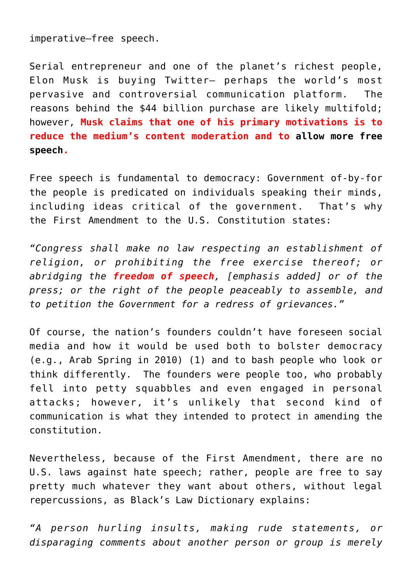imperative—free speech.

Serial entrepreneur and one of the planet's richest people, Elon Musk is buying Twitter— perhaps the world's most pervasive and controversial communication platform. The reasons behind the [\\$44 billion purchase](https://www.theguardian.com/technology/2022/apr/30/elon-musk-why-44bn-vision-for-twitter-could-fall-apart) are likely multifold; however, **Musk claims that one of his primary motivations is to reduce the medium's content moderation and to [allow more free](https://www.theguardian.com/technology/2022/apr/30/elon-musk-why-44bn-vision-for-twitter-could-fall-apart) [speech](https://www.theguardian.com/technology/2022/apr/30/elon-musk-why-44bn-vision-for-twitter-could-fall-apart).**

Free speech is fundamental to democracy: Government of-by-for the people is predicated on individuals speaking their minds, including ideas critical of the government. That's why the [First Amendment to the U.S. Constitution](https://www.britannica.com/event/Arab-Spring) states:

*"Congress shall make no law respecting an establishment of religion, or prohibiting the free exercise thereof; or abridging the freedom of speech, [emphasis added] or of the press; or the right of the people peaceably to assemble, and to petition the Government for a redress of grievances."*

Of course, the nation's founders couldn't have foreseen [social](https://www.commpro.biz/social-media-section/) [media](https://www.commpro.biz/social-media-section/) and how it would be used both to bolster democracy (e.g., Arab Spring in 2010) (1) and to bash people who look or think differently. The founders were people too, who probably fell into petty squabbles and even engaged in personal attacks; however, it's unlikely that second kind of communication is what they intended to protect in amending the constitution.

Nevertheless, because of the First Amendment, there are [no](https://thelawdictionary.org/article/the-legalities-of-hate-speech/) [U.S. laws against hate speech;](https://thelawdictionary.org/article/the-legalities-of-hate-speech/) rather, people are free to say pretty much whatever they want about others, without legal repercussions, as [Black's Law Dictionary explains](https://thelawdictionary.org/article/the-legalities-of-hate-speech/):

*"A person hurling insults, making rude statements, or disparaging comments about another person or group is merely*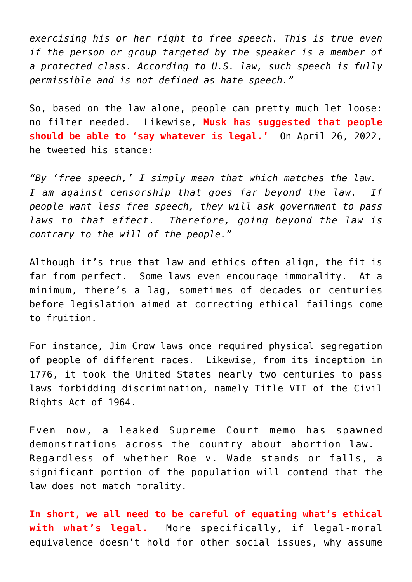*exercising his or her right to free speech. This is true even if the person or group targeted by the speaker is a member of a protected class. According to U.S. law, such speech is fully permissible and is not defined as hate speech."*

So, based on the law alone, people can pretty much let loose: no filter needed. Likewise, **Musk has suggested that people should be able to 'say whatever is legal.'** On April 26, 2022, he [tweeted his stance](https://twitter.com/elonmusk/status/1519036983137509376):

*"By 'free speech,' I simply mean that which matches the law. I am against censorship that goes far beyond the law. If people want less free speech, they will ask government to pass laws to that effect. Therefore, going beyond the law is contrary to the will of the people."*

Although it's true that law and ethics often align, the fit is far from perfect. Some laws even encourage immorality. At a minimum, there's a lag, sometimes of decades or centuries before legislation aimed at correcting ethical failings come to fruition.

For instance, [Jim Crow laws](https://www.history.com/topics/early-20th-century-us/jim-crow-laws) once required physical segregation of people of different races. Likewise, from its inception in 1776, it took the United States nearly two centuries to pass laws forbidding discrimination, namely [Title VII of the Civil](https://www.ftc.gov/policy-notices/no-fear-act/protections-against-discrimination) [Rights Act of 1964.](https://www.ftc.gov/policy-notices/no-fear-act/protections-against-discrimination)

Even now, a [leaked Supreme Court memo](https://www.cnbc.com/video/2022/05/03/demonstrations-erupt-across-the-country-after-memo-leaked-draft-opinion.html) has spawned demonstrations across the country about abortion law. Regardless of whether Roe v. Wade stands or falls, a significant portion of the population will contend that the law does not match morality.

**In short, we all need to be careful of equating what's ethical with what's legal.** More specifically, if legal-moral equivalence doesn't hold for other social issues, why assume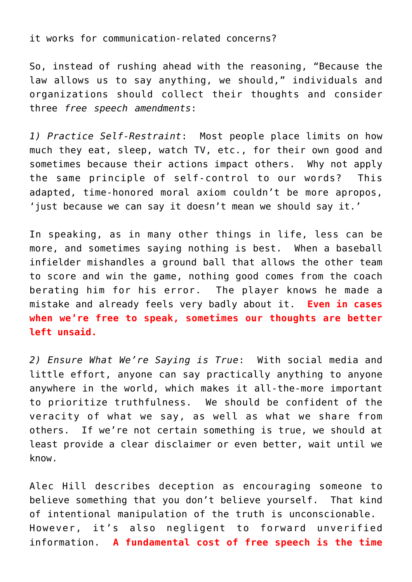it works for communication-related concerns?

So, instead of rushing ahead with the reasoning, "Because the law allows us to say anything, we should," individuals and organizations should collect their thoughts and consider three *free speech amendments*:

*1) Practice Self-Restraint*: Most people place limits on how much they eat, sleep, watch TV, etc., for their own good and sometimes because their actions impact others. Why not apply the same principle of self-control to our words? This adapted, time-honored moral axiom couldn't be more apropos, 'just because we can say it doesn't mean we should say it.'

In speaking, as in many other things in life, less can be more, and sometimes saying nothing is best. When a baseball infielder mishandles a ground ball that allows the other team to score and win the game, nothing good comes from the coach berating him for his error. The player knows he made a mistake and already feels very badly about it. **Even in cases when we're free to speak, sometimes our thoughts are better left unsaid.**

*2) Ensure What We're Saying is True*: With social media and little effort, anyone can say practically anything to anyone anywhere in the world, which makes it all-the-more important to prioritize truthfulness. We should be confident of the veracity of what we say, as well as what we share from others. If we're not certain something is true, we should at least provide a clear disclaimer or even better, wait until we know.

Alec Hill [describes deception](https://www.amazon.com/Just-Business-Christian-Ethics-Marketplace/dp/0830851984) as encouraging someone to believe something that you don't believe yourself. That kind of intentional manipulation of the truth is unconscionable. However, it's also negligent to forward unverified information. **A fundamental cost of free speech is the time**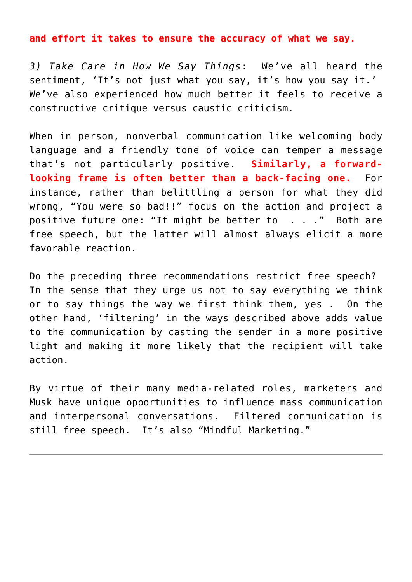**and effort it takes to ensure the accuracy of what we say.**

*3) Take Care in How We Say Things*: We've all heard the sentiment, 'It's not just what you say, it's how you say it.' We've also experienced how much better it feels to receive a constructive critique versus caustic criticism.

When in person, nonverbal communication like welcoming body language and a friendly tone of voice can temper a message that's not particularly positive. **Similarly, a forwardlooking frame is often better than a back-facing one.** For instance, rather than belittling a person for what they did wrong, "You were so bad!!" focus on the action and project a positive future one: "It might be better to . . ." Both are free speech, but the latter will almost always elicit a more favorable reaction.

Do the preceding three recommendations restrict free speech? In the sense that they urge us not to say everything we think or to say things the way we first think them, yes . On the other hand, 'filtering' in the ways described above adds value to the communication by casting the sender in a more positive light and making it more likely that the recipient will take action.

By virtue of their many media-related roles, marketers and Musk have unique opportunities to influence mass communication and interpersonal conversations. Filtered communication is still free speech. It's also ["Mindful Marketing.](http://www.mindfulmarketing.org/)"